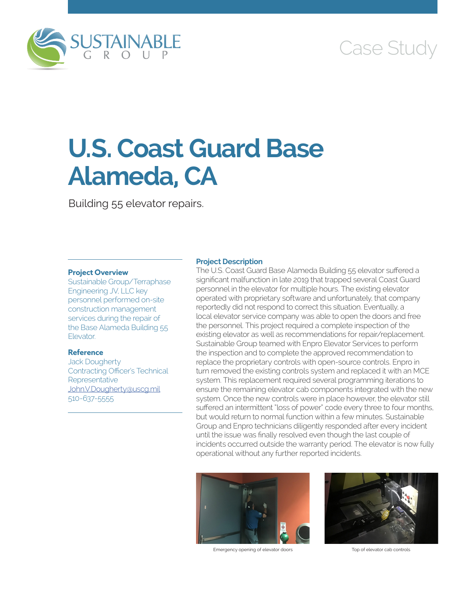

# Case Study

# **U.S. Coast Guard Base Alameda, CA**

Building 55 elevator repairs.

# **Project Overview**

Sustainable Group/Terraphase Engineering JV, LLC key personnel performed on-site construction management services during the repair of the Base Alameda Building 55 **Elevator** 

# **Reference**

Jack Dougherty Contracting Officer's Technical **Representative** [John.V.Dougherty@uscg.mil](mailto:John.V.Dougherty@uscg.mil) 510-637-5555

### **Project Description**

The U.S. Coast Guard Base Alameda Building 55 elevator suffered a significant malfunction in late 2019 that trapped several Coast Guard personnel in the elevator for multiple hours. The existing elevator operated with proprietary software and unfortunately, that company reportedly did not respond to correct this situation. Eventually, a local elevator service company was able to open the doors and free the personnel. This project required a complete inspection of the existing elevator as well as recommendations for repair/replacement. Sustainable Group teamed with Enpro Elevator Services to perform the inspection and to complete the approved recommendation to replace the proprietary controls with open-source controls. Enpro in turn removed the existing controls system and replaced it with an MCE system. This replacement required several programming iterations to ensure the remaining elevator cab components integrated with the new system. Once the new controls were in place however, the elevator still suffered an intermittent "loss of power" code every three to four months, but would return to normal function within a few minutes. Sustainable Group and Enpro technicians diligently responded after every incident until the issue was finally resolved even though the last couple of incidents occurred outside the warranty period. The elevator is now fully operational without any further reported incidents.



Emergency opening of elevator doors Top of elevator cab controls